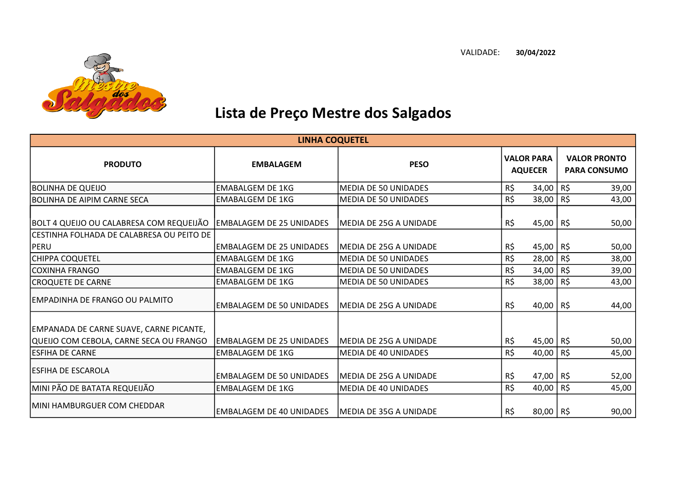

## Lista de Preço Mestre dos Salgados

| <b>LINHA COQUETEL</b>                                                              |                                 |                                |                                     |             |                                            |       |
|------------------------------------------------------------------------------------|---------------------------------|--------------------------------|-------------------------------------|-------------|--------------------------------------------|-------|
| <b>PRODUTO</b>                                                                     | <b>EMBALAGEM</b>                | <b>PESO</b>                    | <b>VALOR PARA</b><br><b>AQUECER</b> |             | <b>VALOR PRONTO</b><br><b>PARA CONSUMO</b> |       |
| <b>BOLINHA DE QUEIJO</b>                                                           | <b>EMABALGEM DE 1KG</b>         | MEDIA DE 50 UNIDADES           | R\$                                 | 34,00       | R\$                                        | 39,00 |
| BOLINHA DE AIPIM CARNE SECA                                                        | <b>EMABALGEM DE 1KG</b>         | <b>MEDIA DE 50 UNIDADES</b>    | R\$                                 | 38,00 R\$   |                                            | 43,00 |
| BOLT 4 QUEIJO OU CALABRESA COM REQUEIJÃO                                           | lEMBALAGEM DE 25 UNIDADES       | IMEDIA DE 25G A UNIDADE        | R\$                                 | 45,00 R\$   |                                            | 50,00 |
| CESTINHA FOLHADA DE CALABRESA OU PEITO DE<br><b>PERU</b>                           | EMBALAGEM DE 25 UNIDADES        | IMEDIA DE 25G A UNIDADE        | R\$                                 | 45,00 R\$   |                                            | 50,00 |
| <b>CHIPPA COQUETEL</b>                                                             | <b>EMABALGEM DE 1KG</b>         | MEDIA DE 50 UNIDADES           | R\$                                 | 28,00       | R\$                                        | 38,00 |
| ICOXINHA FRANGO                                                                    | <b>EMABALGEM DE 1KG</b>         | MEDIA DE 50 UNIDADES           | R\$                                 | 34,00       | R\$                                        | 39,00 |
| <b>CROQUETE DE CARNE</b>                                                           | <b>EMABALGEM DE 1KG</b>         | <b>MEDIA DE 50 UNIDADES</b>    | R\$                                 | 38,00       | R\$                                        | 43,00 |
| <b>EMPADINHA DE FRANGO OU PALMITO</b>                                              | <b>EMBALAGEM DE 50 UNIDADES</b> | MEDIA DE 25G A UNIDADE         | R\$                                 | $40,00$ R\$ |                                            | 44,00 |
| EMPANADA DE CARNE SUAVE, CARNE PICANTE,<br>QUEIJO COM CEBOLA, CARNE SECA OU FRANGO | IEMBALAGEM DE 25 UNIDADES       | <b>IMEDIA DE 25G A UNIDADE</b> | R\$                                 | 45,00 R\$   |                                            | 50,00 |
| <b>ESFIHA DE CARNE</b>                                                             | <b>EMBALAGEM DE 1KG</b>         | <b>MEDIA DE 40 UNIDADES</b>    | R\$                                 | 40,00 R\$   |                                            | 45,00 |
| <b>ESFIHA DE ESCAROLA</b>                                                          | <b>EMBALAGEM DE 50 UNIDADES</b> | MEDIA DE 25G A UNIDADE         | R\$                                 | 47,00 R\$   |                                            | 52,00 |
| MINI PÃO DE BATATA REQUEIJÃO                                                       | <b>EMBALAGEM DE 1KG</b>         | MEDIA DE 40 UNIDADES           | R\$                                 | 40,00       | R\$                                        | 45,00 |
| MINI HAMBURGUER COM CHEDDAR                                                        | EMBALAGEM DE 40 UNIDADES        | <b>MEDIA DE 35G A UNIDADE</b>  | R\$                                 | 80,00 R\$   |                                            | 90,00 |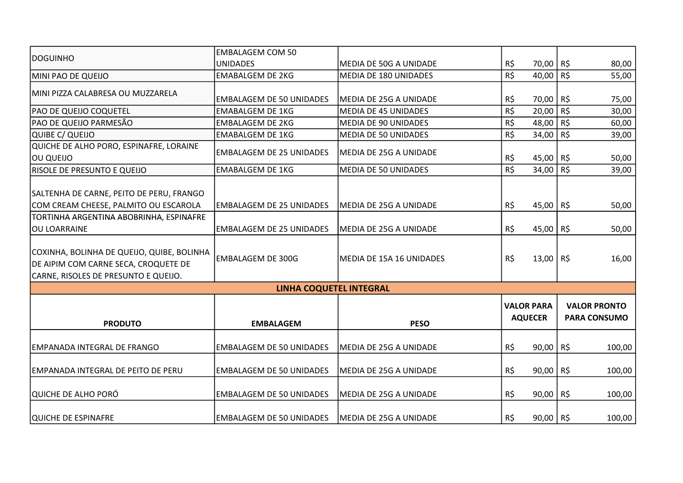|                                                                                    | <b>EMBALAGEM COM 50</b>         |                             |     |                   |          |                     |
|------------------------------------------------------------------------------------|---------------------------------|-----------------------------|-----|-------------------|----------|---------------------|
| <b>DOGUINHO</b>                                                                    | <b>UNIDADES</b>                 | MEDIA DE 50G A UNIDADE      | R\$ | 70,00 R\$         |          | 80,00               |
| MINI PAO DE QUEIJO                                                                 | <b>EMABALGEM DE 2KG</b>         | MEDIA DE 180 UNIDADES       | R\$ | 40,00             | R\$      | 55,00               |
| MINI PIZZA CALABRESA OU MUZZARELA                                                  |                                 |                             |     |                   |          |                     |
|                                                                                    | <b>EMBALAGEM DE 50 UNIDADES</b> | MEDIA DE 25G A UNIDADE      | R\$ | 70,00             | R\$      | 75,00               |
| PAO DE QUEIJO COQUETEL                                                             | <b>EMABALGEM DE 1KG</b>         | <b>MEDIA DE 45 UNIDADES</b> | R\$ | 20,00             | $R\zeta$ | 30,00               |
| PAO DE QUEIJO PARMESÃO                                                             | <b>EMBALAGEM DE 2KG</b>         | <b>MEDIA DE 90 UNIDADES</b> | R\$ | 48,00             | R\$      | 60,00               |
| QUIBE C/ QUEIJO                                                                    | <b>EMABALGEM DE 1KG</b>         | <b>MEDIA DE 50 UNIDADES</b> | R\$ | 34,00             | $R\zeta$ | 39,00               |
| QUICHE DE ALHO PORO, ESPINAFRE, LORAINE                                            | <b>EMBALAGEM DE 25 UNIDADES</b> | MEDIA DE 25G A UNIDADE      |     |                   |          |                     |
| OU QUEIJO                                                                          |                                 |                             | R\$ | 45,00 R\$         |          | 50,00               |
| <b>RISOLE DE PRESUNTO E QUEIJO</b>                                                 | <b>EMABALGEM DE 1KG</b>         | <b>MEDIA DE 50 UNIDADES</b> | R\$ | 34,00             | R\$      | 39,00               |
|                                                                                    |                                 |                             |     |                   |          |                     |
| SALTENHA DE CARNE, PEITO DE PERU, FRANGO                                           |                                 |                             |     |                   |          |                     |
| COM CREAM CHEESE, PALMITO OU ESCAROLA                                              | <b>EMBALAGEM DE 25 UNIDADES</b> | MEDIA DE 25G A UNIDADE      | R\$ | 45,00 R\$         |          | 50,00               |
| TORTINHA ARGENTINA ABOBRINHA, ESPINAFRE                                            |                                 |                             |     |                   |          |                     |
| <b>OU LOARRAINE</b>                                                                | <b>EMBALAGEM DE 25 UNIDADES</b> | MEDIA DE 25G A UNIDADE      | R\$ | 45,00 R\$         |          | 50,00               |
| COXINHA, BOLINHA DE QUEIJO, QUIBE, BOLINHA<br>DE AIPIM COM CARNE SECA, CROQUETE DE | <b>EMBALAGEM DE 300G</b>        | MEDIA DE 15A 16 UNIDADES    | R\$ | $13,00$ R\$       |          | 16,00               |
| CARNE, RISOLES DE PRESUNTO E QUEIJO.                                               |                                 |                             |     |                   |          |                     |
|                                                                                    | <b>LINHA COQUETEL INTEGRAL</b>  |                             |     |                   |          |                     |
|                                                                                    |                                 |                             |     | <b>VALOR PARA</b> |          | <b>VALOR PRONTO</b> |
| <b>PRODUTO</b>                                                                     | <b>EMBALAGEM</b>                | <b>PESO</b>                 |     | <b>AQUECER</b>    |          | <b>PARA CONSUMO</b> |
|                                                                                    |                                 |                             |     |                   |          |                     |
| EMPANADA INTEGRAL DE FRANGO                                                        | <b>EMBALAGEM DE 50 UNIDADES</b> | MEDIA DE 25G A UNIDADE      | R\$ | 90,00 R\$         |          | 100,00              |
|                                                                                    |                                 |                             |     |                   |          |                     |
| <b>EMPANADA INTEGRAL DE PEITO DE PERU</b>                                          | <b>EMBALAGEM DE 50 UNIDADES</b> | MEDIA DE 25G A UNIDADE      | R\$ | $90,00$ R\$       |          | 100,00              |
| QUICHE DE ALHO PORÓ                                                                | <b>EMBALAGEM DE 50 UNIDADES</b> | MEDIA DE 25G A UNIDADE      | R\$ | 90,00 R\$         |          | 100,00              |
| QUICHE DE ESPINAFRE                                                                | <b>EMBALAGEM DE 50 UNIDADES</b> | MEDIA DE 25G A UNIDADE      | R\$ | $90,00$ R\$       |          | 100,00              |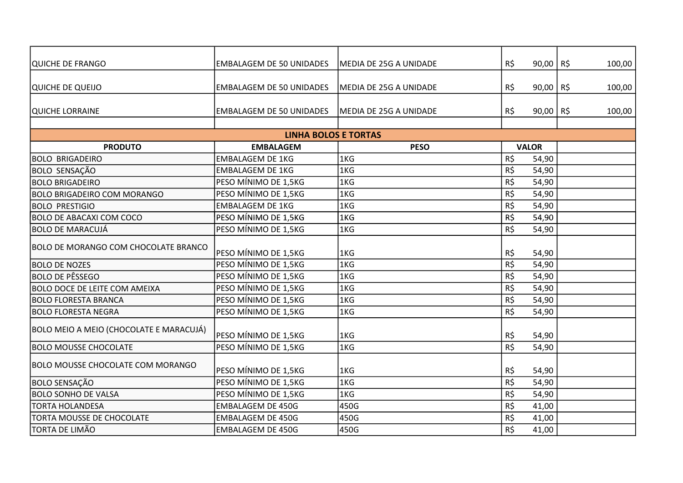| QUICHE DE FRANGO                            | <b>EMBALAGEM DE 50 UNIDADES</b> | <b>MEDIA DE 25G A UNIDADE</b> | R\$      | $90,00$ R\$  | 100,00 |
|---------------------------------------------|---------------------------------|-------------------------------|----------|--------------|--------|
|                                             |                                 |                               |          |              |        |
| QUICHE DE QUEIJO                            | <b>EMBALAGEM DE 50 UNIDADES</b> | MEDIA DE 25G A UNIDADE        | R\$      | $90,00$ R\$  | 100,00 |
|                                             |                                 |                               |          |              |        |
| QUICHE LORRAINE                             | <b>EMBALAGEM DE 50 UNIDADES</b> | MEDIA DE 25G A UNIDADE        | R\$      | $90,00$ R\$  | 100,00 |
|                                             |                                 |                               |          |              |        |
|                                             | <b>LINHA BOLOS E TORTAS</b>     |                               |          |              |        |
| <b>PRODUTO</b>                              | <b>EMBALAGEM</b>                | <b>PESO</b>                   |          | <b>VALOR</b> |        |
| <b>BOLO BRIGADEIRO</b>                      | <b>EMBALAGEM DE 1KG</b>         | 1KG                           | R\$      | 54,90        |        |
| <b>BOLO SENSAÇÃO</b>                        | <b>EMBALAGEM DE 1KG</b>         | 1KG                           | R\$      | 54,90        |        |
| <b>BOLO BRIGADEIRO</b>                      | PESO MÍNIMO DE 1,5KG            | 1KG                           | R\$      | 54,90        |        |
| <b>BOLO BRIGADEIRO COM MORANGO</b>          | PESO MÍNIMO DE 1,5KG            | 1KG                           | R\$      | 54,90        |        |
| <b>BOLO PRESTIGIO</b>                       | <b>EMBALAGEM DE 1KG</b>         | 1KG                           | R\$      | 54,90        |        |
| <b>BOLO DE ABACAXI COM COCO</b>             | PESO MÍNIMO DE 1,5KG            | 1KG                           | R\$      | 54,90        |        |
| <b>BOLO DE MARACUJÁ</b>                     | PESO MÍNIMO DE 1,5KG            | 1KG                           | R\$      | 54,90        |        |
| <b>BOLO DE MORANGO COM CHOCOLATE BRANCO</b> | PESO MÍNIMO DE 1,5KG            | 1KG                           | R\$      | 54,90        |        |
| <b>BOLO DE NOZES</b>                        | PESO MÍNIMO DE 1,5KG            | 1KG                           | R\$      | 54,90        |        |
| <b>BOLO DE PÊSSEGO</b>                      | PESO MÍNIMO DE 1,5KG            | 1KG                           | R\$      | 54,90        |        |
| <b>BOLO DOCE DE LEITE COM AMEIXA</b>        | PESO MÍNIMO DE 1,5KG            | 1KG                           | R\$      | 54,90        |        |
| <b>BOLO FLORESTA BRANCA</b>                 | PESO MÍNIMO DE 1,5KG            | 1KG                           | $R\zeta$ | 54,90        |        |
| <b>BOLO FLORESTA NEGRA</b>                  | PESO MÍNIMO DE 1,5KG            | 1KG                           | R\$      | 54,90        |        |
| BOLO MEIO A MEIO (CHOCOLATE E MARACUJÁ)     | PESO MÍNIMO DE 1,5KG            | 1KG                           | R\$      | 54,90        |        |
| <b>BOLO MOUSSE CHOCOLATE</b>                | PESO MÍNIMO DE 1,5KG            | 1KG                           | R\$      | 54,90        |        |
| <b>BOLO MOUSSE CHOCOLATE COM MORANGO</b>    | PESO MÍNIMO DE 1,5KG            | 1KG                           | R\$      | 54,90        |        |
| <b>BOLO SENSAÇÃO</b>                        | PESO MÍNIMO DE 1,5KG            | 1KG                           | R\$      | 54,90        |        |
| <b>BOLO SONHO DE VALSA</b>                  | PESO MÍNIMO DE 1,5KG            | 1KG                           | $R\zeta$ | 54,90        |        |
| <b>TORTA HOLANDESA</b>                      | <b>EMBALAGEM DE 450G</b>        | 450G                          | R\$      | 41,00        |        |
| TORTA MOUSSE DE CHOCOLATE                   | <b>EMBALAGEM DE 450G</b>        | 450G                          | R\$      | 41,00        |        |
| <b>TORTA DE LIMÃO</b>                       | <b>EMBALAGEM DE 450G</b>        | 450G                          | R\$      | 41,00        |        |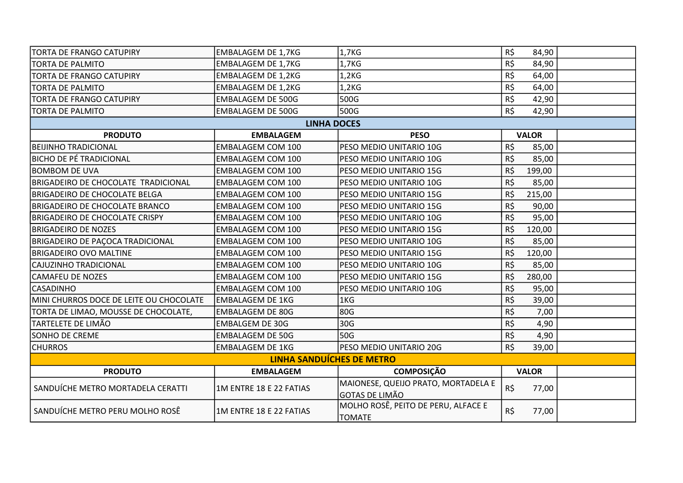| <b>TORTA DE FRANGO CATUPIRY</b>            | EMBALAGEM DE 1,7KG        | 1,7KG                                                        | R\$<br>84,90       |  |  |  |
|--------------------------------------------|---------------------------|--------------------------------------------------------------|--------------------|--|--|--|
| <b>TORTA DE PALMITO</b>                    | <b>EMBALAGEM DE 1,7KG</b> | 1,7KG                                                        | R\$<br>84,90       |  |  |  |
| <b>TORTA DE FRANGO CATUPIRY</b>            | <b>EMBALAGEM DE 1,2KG</b> | 1,2 <sub>K</sub> G                                           | R\$<br>64,00       |  |  |  |
| <b>TORTA DE PALMITO</b>                    | <b>EMBALAGEM DE 1,2KG</b> | 1,2KG                                                        | R\$<br>64,00       |  |  |  |
| <b>TORTA DE FRANGO CATUPIRY</b>            | <b>EMBALAGEM DE 500G</b>  | 500G                                                         | R\$<br>42,90       |  |  |  |
| <b>TORTA DE PALMITO</b>                    | <b>EMBALAGEM DE 500G</b>  | 500G                                                         | R\$<br>42,90       |  |  |  |
|                                            | <b>LINHA DOCES</b>        |                                                              |                    |  |  |  |
| <b>PRODUTO</b>                             | <b>EMBALAGEM</b>          | <b>PESO</b>                                                  | <b>VALOR</b>       |  |  |  |
| <b>BEIJINHO TRADICIONAL</b>                | <b>EMBALAGEM COM 100</b>  | PESO MEDIO UNITARIO 10G                                      | R\$<br>85,00       |  |  |  |
| <b>BICHO DE PÉ TRADICIONAL</b>             | <b>EMBALAGEM COM 100</b>  | PESO MEDIO UNITARIO 10G                                      | R\$<br>85,00       |  |  |  |
| <b>BOMBOM DE UVA</b>                       | <b>EMBALAGEM COM 100</b>  | PESO MEDIO UNITARIO 15G                                      | R\$<br>199,00      |  |  |  |
| <b>BRIGADEIRO DE CHOCOLATE TRADICIONAL</b> | <b>EMBALAGEM COM 100</b>  | PESO MEDIO UNITARIO 10G                                      | R\$<br>85,00       |  |  |  |
| <b>BRIGADEIRO DE CHOCOLATE BELGA</b>       | <b>EMBALAGEM COM 100</b>  | PESO MEDIO UNITARIO 15G                                      | R\$<br>215,00      |  |  |  |
| <b>BRIGADEIRO DE CHOCOLATE BRANCO</b>      | <b>EMBALAGEM COM 100</b>  | PESO MEDIO UNITARIO 15G                                      | R\$<br>90,00       |  |  |  |
| <b>BRIGADEIRO DE CHOCOLATE CRISPY</b>      | <b>EMBALAGEM COM 100</b>  | PESO MEDIO UNITARIO 10G                                      | R\$<br>95,00       |  |  |  |
| <b>BRIGADEIRO DE NOZES</b>                 | <b>EMBALAGEM COM 100</b>  | PESO MEDIO UNITARIO 15G                                      | R\$<br>120,00      |  |  |  |
| <b>BRIGADEIRO DE PAÇOCA TRADICIONAL</b>    | <b>EMBALAGEM COM 100</b>  | PESO MEDIO UNITARIO 10G                                      | R\$<br>85,00       |  |  |  |
| <b>BRIGADEIRO OVO MALTINE</b>              | <b>EMBALAGEM COM 100</b>  | PESO MEDIO UNITARIO 15G                                      | R\$<br>120,00      |  |  |  |
| CAJUZINHO TRADICIONAL                      | <b>EMBALAGEM COM 100</b>  | PESO MEDIO UNITARIO 10G                                      | R\$<br>85,00       |  |  |  |
| <b>CAMAFEU DE NOZES</b>                    | <b>EMBALAGEM COM 100</b>  | PESO MEDIO UNITARIO 15G                                      | $R\zeta$<br>280,00 |  |  |  |
| <b>CASADINHO</b>                           | <b>EMBALAGEM COM 100</b>  | PESO MEDIO UNITARIO 10G                                      | $R\zeta$<br>95,00  |  |  |  |
| MINI CHURROS DOCE DE LEITE OU CHOCOLATE    | <b>EMBALAGEM DE 1KG</b>   | 1KG                                                          | $R\zeta$<br>39,00  |  |  |  |
| TORTA DE LIMAO, MOUSSE DE CHOCOLATE,       | <b>EMBALAGEM DE 80G</b>   | 80G                                                          | R\$<br>7,00        |  |  |  |
| TARTELETE DE LIMÃO                         | <b>EMBALGEM DE 30G</b>    | 30G                                                          | $R\zeta$<br>4,90   |  |  |  |
| SONHO DE CREME                             | <b>EMBALAGEM DE 50G</b>   | 50G                                                          | $R\zeta$<br>4,90   |  |  |  |
| <b>CHURROS</b>                             | <b>EMBALAGEM DE 1KG</b>   | PESO MEDIO UNITARIO 20G                                      | R\$<br>39,00       |  |  |  |
| <b>LINHA SANDUÍCHES DE METRO</b>           |                           |                                                              |                    |  |  |  |
| <b>PRODUTO</b>                             | <b>EMBALAGEM</b>          | <b>COMPOSIÇÃO</b>                                            | <b>VALOR</b>       |  |  |  |
| SANDUÍCHE METRO MORTADELA CERATTI          | 1M ENTRE 18 E 22 FATIAS   | MAIONESE, QUEIJO PRATO, MORTADELA E<br><b>GOTAS DE LIMÃO</b> | R\$<br>77,00       |  |  |  |
| SANDUÍCHE METRO PERU MOLHO ROSÊ            | 1M ENTRE 18 E 22 FATIAS   | MOLHO ROSÊ, PEITO DE PERU, ALFACE E<br><b>TOMATE</b>         | R\$<br>77,00       |  |  |  |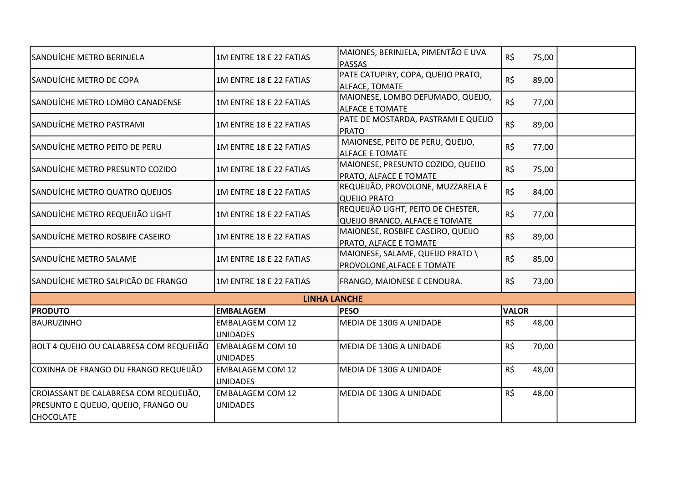| SANDUÍCHE METRO BERINJELA                                                                          | 1M ENTRE 18 E 22 FATIAS                    | MAIONES, BERINJELA, PIMENTÃO E UVA<br><b>PASSAS</b>                  | R\$          | 75,00 |  |
|----------------------------------------------------------------------------------------------------|--------------------------------------------|----------------------------------------------------------------------|--------------|-------|--|
| SANDUÍCHE METRO DE COPA                                                                            | 1M ENTRE 18 E 22 FATIAS                    | PATE CATUPIRY, COPA, QUEIJO PRATO,<br>ALFACE, TOMATE                 | R\$          | 89,00 |  |
| SANDUÍCHE METRO LOMBO CANADENSE                                                                    | 1M ENTRE 18 E 22 FATIAS                    | MAIONESE, LOMBO DEFUMADO, QUEIJO,<br><b>ALFACE E TOMATE</b>          | R\$          | 77,00 |  |
| SANDUÍCHE METRO PASTRAMI                                                                           | 1M ENTRE 18 E 22 FATIAS                    | PATE DE MOSTARDA, PASTRAMI E QUEIJO<br><b>PRATO</b>                  | R\$          | 89,00 |  |
| SANDUÍCHE METRO PEITO DE PERU                                                                      | 1M ENTRE 18 E 22 FATIAS                    | MAIONESE, PEITO DE PERU, QUEIJO,<br><b>ALFACE E TOMATE</b>           | R\$          | 77,00 |  |
| SANDUÍCHE METRO PRESUNTO COZIDO                                                                    | 1M ENTRE 18 E 22 FATIAS                    | MAIONESE, PRESUNTO COZIDO, QUEIJO<br>PRATO, ALFACE E TOMATE          | $R\zeta$     | 75,00 |  |
| SANDUÍCHE METRO QUATRO QUEIJOS                                                                     | 1M ENTRE 18 E 22 FATIAS                    | REQUEIJÃO, PROVOLONE, MUZZARELA E<br><b>QUEIJO PRATO</b>             | R\$          | 84,00 |  |
| SANDUÍCHE METRO REQUEIJÃO LIGHT                                                                    | 1M ENTRE 18 E 22 FATIAS                    | REQUEIJÃO LIGHT, PEITO DE CHESTER,<br>QUEIJO BRANCO, ALFACE E TOMATE | $R\zeta$     | 77,00 |  |
| SANDUÍCHE METRO ROSBIFE CASEIRO                                                                    | 1M ENTRE 18 E 22 FATIAS                    | MAIONESE, ROSBIFE CASEIRO, QUEIJO<br>PRATO, ALFACE E TOMATE          | R\$          | 89,00 |  |
| SANDUÍCHE METRO SALAME                                                                             | 1M ENTRE 18 E 22 FATIAS                    | MAIONESE, SALAME, QUEIJO PRATO \<br>PROVOLONE, ALFACE E TOMATE       | R\$          | 85,00 |  |
| SANDUÍCHE METRO SALPICÃO DE FRANGO                                                                 | 1M ENTRE 18 E 22 FATIAS                    | FRANGO, MAIONESE E CENOURA.                                          | R\$          | 73,00 |  |
|                                                                                                    | <b>LINHA LANCHE</b>                        |                                                                      |              |       |  |
| <b>PRODUTO</b>                                                                                     | <b>EMBALAGEM</b>                           | <b>PESO</b>                                                          | <b>VALOR</b> |       |  |
| <b>BAURUZINHO</b>                                                                                  | <b>EMBALAGEM COM 12</b><br><b>UNIDADES</b> | MEDIA DE 130G A UNIDADE                                              | R\$          | 48,00 |  |
| BOLT 4 QUEIJO OU CALABRESA COM REQUEIJÃO                                                           | <b>EMBALAGEM COM 10</b><br><b>UNIDADES</b> | MEDIA DE 130G A UNIDADE                                              | R\$          | 70,00 |  |
| COXINHA DE FRANGO OU FRANGO REQUEIJÃO                                                              | <b>EMBALAGEM COM 12</b><br><b>UNIDADES</b> | MEDIA DE 130G A UNIDADE                                              | R\$          | 48,00 |  |
| CROIASSANT DE CALABRESA COM REQUEIJÃO,<br>PRESUNTO E QUEIJO, QUEIJO, FRANGO OU<br><b>CHOCOLATE</b> | <b>EMBALAGEM COM 12</b><br><b>UNIDADES</b> | MEDIA DE 130G A UNIDADE                                              | R\$          | 48,00 |  |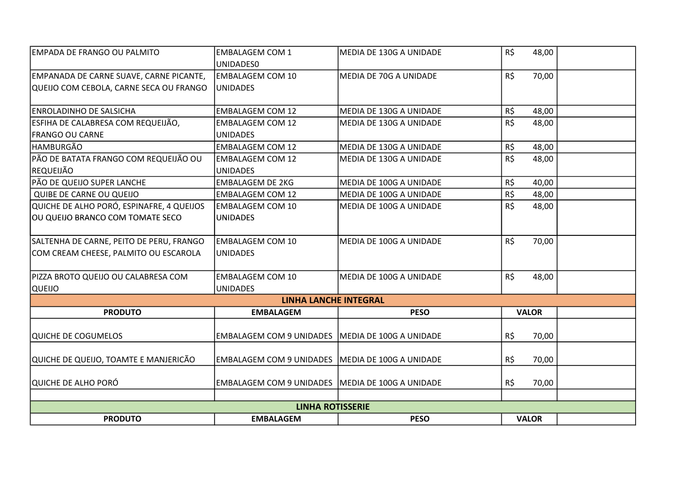| <b>PRODUTO</b>                                                        | <b>EMBALAGEM</b>                                   | <b>PESO</b>                                        | <b>VALOR</b>          |  |  |
|-----------------------------------------------------------------------|----------------------------------------------------|----------------------------------------------------|-----------------------|--|--|
| <b>LINHA ROTISSERIE</b>                                               |                                                    |                                                    |                       |  |  |
|                                                                       |                                                    |                                                    |                       |  |  |
| QUICHE DE ALHO PORÓ                                                   | EMBALAGEM COM 9 UNIDADES MEDIA DE 100G A UNIDADE   |                                                    | R\$<br>70,00          |  |  |
| QUICHE DE QUEIJO, TOAMTE E MANJERICÃO                                 | EMBALAGEM COM 9 UNIDADES MEDIA DE 100G A UNIDADE   |                                                    | R\$<br>70,00          |  |  |
|                                                                       |                                                    |                                                    |                       |  |  |
| QUICHE DE COGUMELOS                                                   | EMBALAGEM COM 9 UNIDADES MEDIA DE 100G A UNIDADE   |                                                    | R\$<br>70,00          |  |  |
| <b>PRODUTO</b>                                                        | <b>EMBALAGEM</b>                                   | <b>PESO</b>                                        | <b>VALOR</b>          |  |  |
|                                                                       | <b>LINHA LANCHE INTEGRAL</b>                       |                                                    |                       |  |  |
| QUEIJO                                                                | <b>UNIDADES</b>                                    |                                                    |                       |  |  |
| PIZZA BROTO QUEIJO OU CALABRESA COM                                   | <b>EMBALAGEM COM 10</b>                            | MEDIA DE 100G A UNIDADE                            | R\$<br>48,00          |  |  |
| COM CREAM CHEESE, PALMITO OU ESCAROLA                                 | UNIDADES                                           |                                                    |                       |  |  |
| SALTENHA DE CARNE, PEITO DE PERU, FRANGO                              | <b>EMBALAGEM COM 10</b>                            | MEDIA DE 100G A UNIDADE                            | R\$<br>70,00          |  |  |
|                                                                       |                                                    |                                                    |                       |  |  |
| OU QUEIJO BRANCO COM TOMATE SECO                                      | <b>UNIDADES</b>                                    |                                                    |                       |  |  |
| QUIBE DE CARNE OU QUEIJO<br>QUICHE DE ALHO PORÓ, ESPINAFRE, 4 QUEIJOS | <b>EMBALAGEM COM 12</b><br><b>EMBALAGEM COM 10</b> | MEDIA DE 100G A UNIDADE<br>MEDIA DE 100G A UNIDADE | 48,00<br>R\$<br>48,00 |  |  |
| PÃO DE QUEIJO SUPER LANCHE                                            | <b>EMBALAGEM DE 2KG</b>                            | MEDIA DE 100G A UNIDADE                            | R\$<br>40,00<br>R\$   |  |  |
|                                                                       | <b>UNIDADES</b>                                    |                                                    |                       |  |  |
| PÃO DE BATATA FRANGO COM REQUEIJÃO OU<br> REQUEIJÃO                   | <b>EMBALAGEM COM 12</b>                            | MEDIA DE 130G A UNIDADE                            | R\$<br>48,00          |  |  |
| <b>HAMBURGÃO</b>                                                      | <b>EMBALAGEM COM 12</b>                            | MEDIA DE 130G A UNIDADE                            | R\$<br>48,00          |  |  |
| <b>FRANGO OU CARNE</b>                                                | <b>UNIDADES</b>                                    |                                                    |                       |  |  |
| ESFIHA DE CALABRESA COM REQUEIJÃO,                                    | <b>EMBALAGEM COM 12</b>                            | MEDIA DE 130G A UNIDADE                            | R\$<br>48,00          |  |  |
| ENROLADINHO DE SALSICHA                                               | <b>EMBALAGEM COM 12</b>                            | MEDIA DE 130G A UNIDADE                            | R\$<br>48,00          |  |  |
| QUEIJO COM CEBOLA, CARNE SECA OU FRANGO                               | <b>UNIDADES</b>                                    |                                                    |                       |  |  |
| EMPANADA DE CARNE SUAVE, CARNE PICANTE,                               | <b>EMBALAGEM COM 10</b>                            | MEDIA DE 70G A UNIDADE                             | R\$<br>70,00          |  |  |
|                                                                       | UNIDADES0                                          |                                                    |                       |  |  |
| EMPADA DE FRANGO OU PALMITO                                           | <b>EMBALAGEM COM 1</b>                             | MEDIA DE 130G A UNIDADE                            | R\$<br>48,00          |  |  |